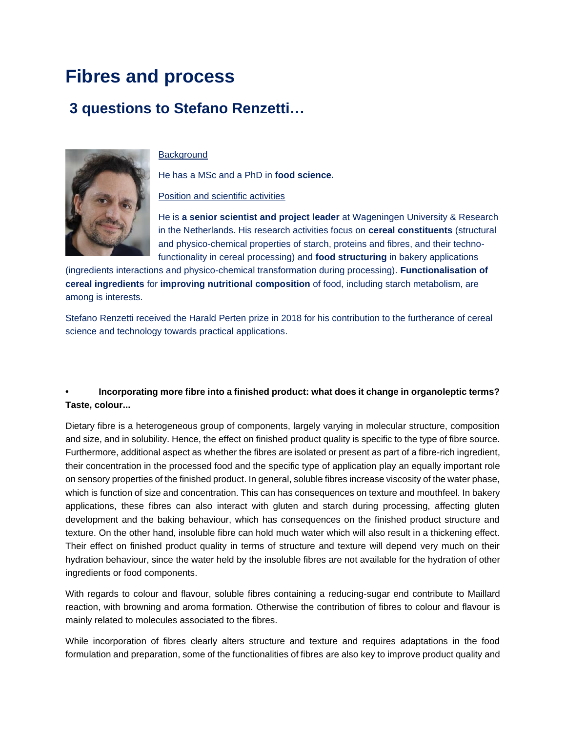# **Fibres and process**

# **3 questions to Stefano Renzetti…**



#### **Background**

He has a MSc and a PhD in **food science.**

Position and scientific activities

He is **a senior scientist and project leader** at Wageningen University & Research in the Netherlands. His research activities focus on **cereal constituents** (structural and physico-chemical properties of starch, proteins and fibres, and their technofunctionality in cereal processing) and **food structuring** in bakery applications

(ingredients interactions and physico-chemical transformation during processing). **Functionalisation of cereal ingredients** for **improving nutritional composition** of food, including starch metabolism, are among is interests.

Stefano Renzetti received the Harald Perten prize in 2018 for his contribution to the furtherance of cereal science and technology towards practical applications.

## **• Incorporating more fibre into a finished product: what does it change in organoleptic terms? Taste, colour...**

Dietary fibre is a heterogeneous group of components, largely varying in molecular structure, composition and size, and in solubility. Hence, the effect on finished product quality is specific to the type of fibre source. Furthermore, additional aspect as whether the fibres are isolated or present as part of a fibre-rich ingredient, their concentration in the processed food and the specific type of application play an equally important role on sensory properties of the finished product. In general, soluble fibres increase viscosity of the water phase, which is function of size and concentration. This can has consequences on texture and mouthfeel. In bakery applications, these fibres can also interact with gluten and starch during processing, affecting gluten development and the baking behaviour, which has consequences on the finished product structure and texture. On the other hand, insoluble fibre can hold much water which will also result in a thickening effect. Their effect on finished product quality in terms of structure and texture will depend very much on their hydration behaviour, since the water held by the insoluble fibres are not available for the hydration of other ingredients or food components.

With regards to colour and flavour, soluble fibres containing a reducing-sugar end contribute to Maillard reaction, with browning and aroma formation. Otherwise the contribution of fibres to colour and flavour is mainly related to molecules associated to the fibres.

While incorporation of fibres clearly alters structure and texture and requires adaptations in the food formulation and preparation, some of the functionalities of fibres are also key to improve product quality and